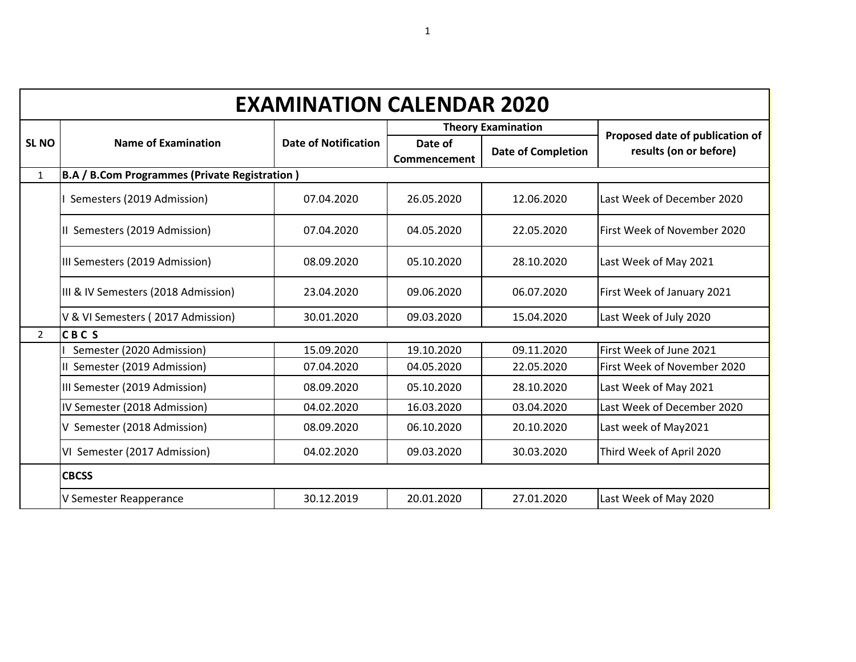|                | <b>EXAMINATION CALENDAR 2020</b>                     |                             |                         |                           |                                                           |  |  |
|----------------|------------------------------------------------------|-----------------------------|-------------------------|---------------------------|-----------------------------------------------------------|--|--|
|                |                                                      |                             |                         | <b>Theory Examination</b> |                                                           |  |  |
| <b>SL NO</b>   | <b>Name of Examination</b>                           | <b>Date of Notification</b> | Date of<br>Commencement | <b>Date of Completion</b> | Proposed date of publication of<br>results (on or before) |  |  |
| $\mathbf{1}$   | <b>B.A / B.Com Programmes (Private Registration)</b> |                             |                         |                           |                                                           |  |  |
|                | Semesters (2019 Admission)                           | 07.04.2020                  | 26.05.2020              | 12.06.2020                | Last Week of December 2020                                |  |  |
|                | II Semesters (2019 Admission)                        | 07.04.2020                  | 04.05.2020              | 22.05.2020                | First Week of November 2020                               |  |  |
|                | III Semesters (2019 Admission)                       | 08.09.2020                  | 05.10.2020              | 28.10.2020                | Last Week of May 2021                                     |  |  |
|                | III & IV Semesters (2018 Admission)                  | 23.04.2020                  | 09.06.2020              | 06.07.2020                | First Week of January 2021                                |  |  |
|                | V & VI Semesters (2017 Admission)                    | 30.01.2020                  | 09.03.2020              | 15.04.2020                | Last Week of July 2020                                    |  |  |
| $\overline{2}$ | <b>CBCS</b>                                          |                             |                         |                           |                                                           |  |  |
|                | Semester (2020 Admission)                            | 15.09.2020                  | 19.10.2020              | 09.11.2020                | First Week of June 2021                                   |  |  |
|                | II Semester (2019 Admission)                         | 07.04.2020                  | 04.05.2020              | 22.05.2020                | First Week of November 2020                               |  |  |
|                | III Semester (2019 Admission)                        | 08.09.2020                  | 05.10.2020              | 28.10.2020                | Last Week of May 2021                                     |  |  |
|                | IV Semester (2018 Admission)                         | 04.02.2020                  | 16.03.2020              | 03.04.2020                | Last Week of December 2020                                |  |  |
|                | V Semester (2018 Admission)                          | 08.09.2020                  | 06.10.2020              | 20.10.2020                | Last week of May2021                                      |  |  |
|                | VI Semester (2017 Admission)                         | 04.02.2020                  | 09.03.2020              | 30.03.2020                | Third Week of April 2020                                  |  |  |
|                | <b>CBCSS</b>                                         |                             |                         |                           |                                                           |  |  |
|                | V Semester Reapperance                               | 30.12.2019                  | 20.01.2020              | 27.01.2020                | Last Week of May 2020                                     |  |  |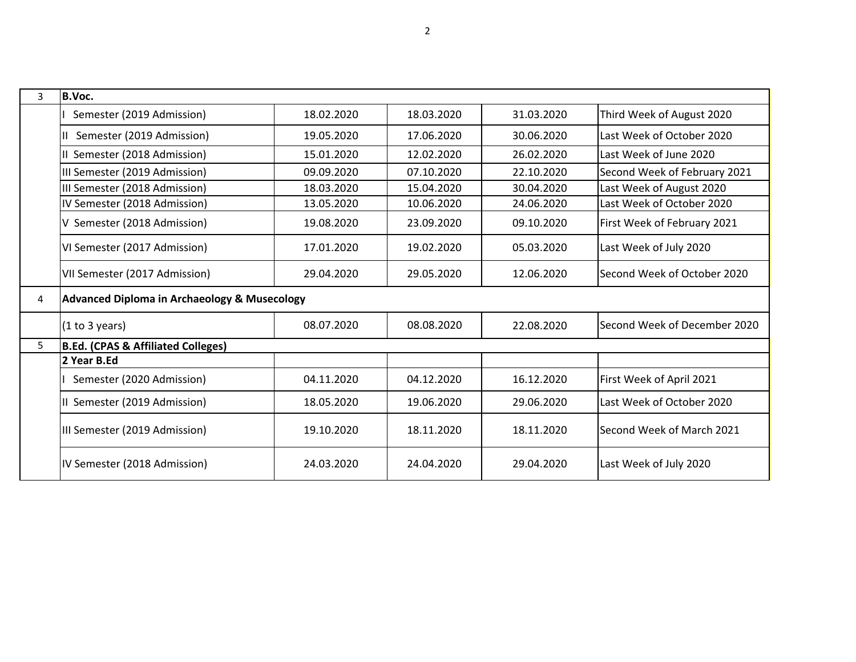| 3 | B.Voc.                                                  |            |            |            |                              |
|---|---------------------------------------------------------|------------|------------|------------|------------------------------|
|   | Semester (2019 Admission)                               | 18.02.2020 | 18.03.2020 | 31.03.2020 | Third Week of August 2020    |
|   | Semester (2019 Admission)                               | 19.05.2020 | 17.06.2020 | 30.06.2020 | Last Week of October 2020    |
|   | II Semester (2018 Admission)                            | 15.01.2020 | 12.02.2020 | 26.02.2020 | Last Week of June 2020       |
|   | III Semester (2019 Admission)                           | 09.09.2020 | 07.10.2020 | 22.10.2020 | Second Week of February 2021 |
|   | III Semester (2018 Admission)                           | 18.03.2020 | 15.04.2020 | 30.04.2020 | Last Week of August 2020     |
|   | IV Semester (2018 Admission)                            | 13.05.2020 | 10.06.2020 | 24.06.2020 | Last Week of October 2020    |
|   | V Semester (2018 Admission)                             | 19.08.2020 | 23.09.2020 | 09.10.2020 | First Week of February 2021  |
|   | VI Semester (2017 Admission)                            | 17.01.2020 | 19.02.2020 | 05.03.2020 | Last Week of July 2020       |
|   | VII Semester (2017 Admission)                           | 29.04.2020 | 29.05.2020 | 12.06.2020 | Second Week of October 2020  |
| 4 | <b>Advanced Diploma in Archaeology &amp; Musecology</b> |            |            |            |                              |
|   | (1 to 3 years)                                          | 08.07.2020 | 08.08.2020 | 22.08.2020 | Second Week of December 2020 |
| 5 | B.Ed. (CPAS & Affiliated Colleges)                      |            |            |            |                              |
|   | 2 Year B.Ed                                             |            |            |            |                              |
|   | Semester (2020 Admission)                               | 04.11.2020 | 04.12.2020 | 16.12.2020 | First Week of April 2021     |
|   | II Semester (2019 Admission)                            | 18.05.2020 | 19.06.2020 | 29.06.2020 | Last Week of October 2020    |
|   | III Semester (2019 Admission)                           | 19.10.2020 | 18.11.2020 | 18.11.2020 | Second Week of March 2021    |
|   | IV Semester (2018 Admission)                            | 24.03.2020 | 24.04.2020 | 29.04.2020 | Last Week of July 2020       |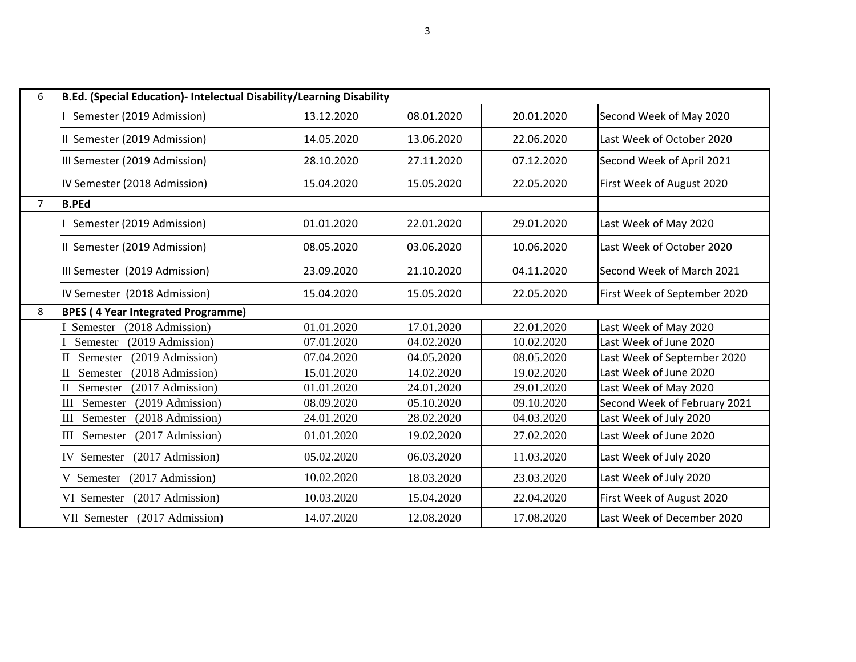| 6              | B.Ed. (Special Education)- Intelectual Disability/Learning Disability |            |            |            |                              |  |  |
|----------------|-----------------------------------------------------------------------|------------|------------|------------|------------------------------|--|--|
|                | Semester (2019 Admission)                                             | 13.12.2020 | 08.01.2020 | 20.01.2020 | Second Week of May 2020      |  |  |
|                | II Semester (2019 Admission)                                          | 14.05.2020 | 13.06.2020 | 22.06.2020 | Last Week of October 2020    |  |  |
|                | III Semester (2019 Admission)                                         | 28.10.2020 | 27.11.2020 | 07.12.2020 | Second Week of April 2021    |  |  |
|                | IV Semester (2018 Admission)                                          | 15.04.2020 | 15.05.2020 | 22.05.2020 | First Week of August 2020    |  |  |
| $\overline{7}$ | <b>B.PEd</b>                                                          |            |            |            |                              |  |  |
|                | Semester (2019 Admission)                                             | 01.01.2020 | 22.01.2020 | 29.01.2020 | Last Week of May 2020        |  |  |
|                | II Semester (2019 Admission)                                          | 08.05.2020 | 03.06.2020 | 10.06.2020 | Last Week of October 2020    |  |  |
|                | III Semester (2019 Admission)                                         | 23.09.2020 | 21.10.2020 | 04.11.2020 | Second Week of March 2021    |  |  |
|                | IV Semester (2018 Admission)                                          | 15.04.2020 | 15.05.2020 | 22.05.2020 | First Week of September 2020 |  |  |
| 8              | <b>BPES (4 Year Integrated Programme)</b>                             |            |            |            |                              |  |  |
|                | (2018 Admission)<br>Semester                                          | 01.01.2020 | 17.01.2020 | 22.01.2020 | Last Week of May 2020        |  |  |
|                | Semester<br>(2019 Admission)                                          | 07.01.2020 | 04.02.2020 | 10.02.2020 | Last Week of June 2020       |  |  |
|                | Semester<br>(2019 Admission)                                          | 07.04.2020 | 04.05.2020 | 08.05.2020 | Last Week of September 2020  |  |  |
|                | Semester<br>(2018 Admission)<br>П                                     | 15.01.2020 | 14.02.2020 | 19.02.2020 | Last Week of June 2020       |  |  |
|                | Semester<br>(2017 Admission)<br>П                                     | 01.01.2020 | 24.01.2020 | 29.01.2020 | Last Week of May 2020        |  |  |
|                | III<br>Semester<br>(2019 Admission)                                   | 08.09.2020 | 05.10.2020 | 09.10.2020 | Second Week of February 2021 |  |  |
|                | Semester<br>(2018 Admission)<br>Ш                                     | 24.01.2020 | 28.02.2020 | 04.03.2020 | Last Week of July 2020       |  |  |
|                | III Semester (2017 Admission)                                         | 01.01.2020 | 19.02.2020 | 27.02.2020 | Last Week of June 2020       |  |  |
|                | IV Semester (2017 Admission)                                          | 05.02.2020 | 06.03.2020 | 11.03.2020 | Last Week of July 2020       |  |  |
|                | V Semester (2017 Admission)                                           | 10.02.2020 | 18.03.2020 | 23.03.2020 | Last Week of July 2020       |  |  |
|                | VI Semester (2017 Admission)                                          | 10.03.2020 | 15.04.2020 | 22.04.2020 | First Week of August 2020    |  |  |
|                | VII Semester (2017 Admission)                                         | 14.07.2020 | 12.08.2020 | 17.08.2020 | Last Week of December 2020   |  |  |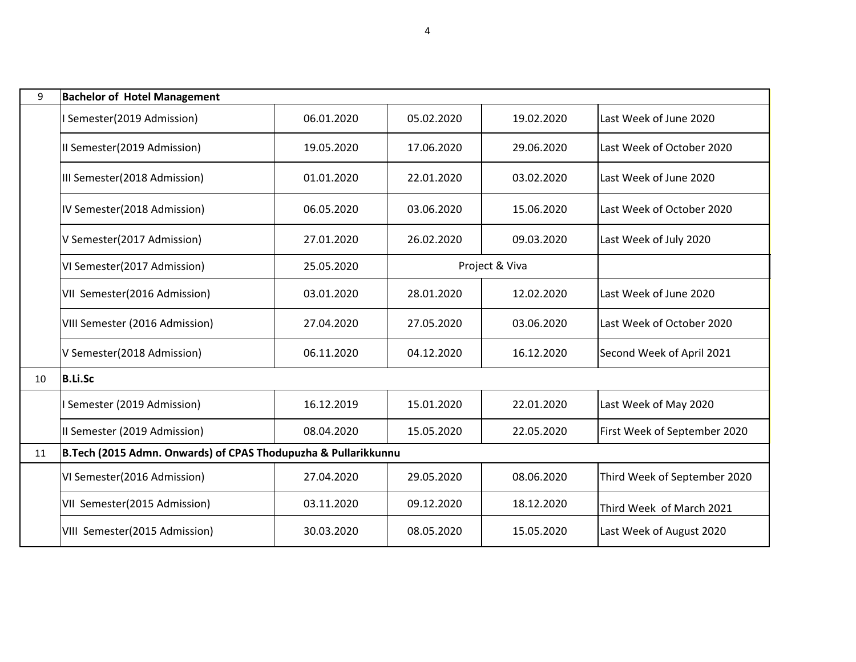| 9  | <b>Bachelor of Hotel Management</b>                            |            |            |                |                              |  |  |
|----|----------------------------------------------------------------|------------|------------|----------------|------------------------------|--|--|
|    | Semester(2019 Admission)                                       | 06.01.2020 | 05.02.2020 | 19.02.2020     | Last Week of June 2020       |  |  |
|    | II Semester(2019 Admission)                                    | 19.05.2020 | 17.06.2020 | 29.06.2020     | Last Week of October 2020    |  |  |
|    | III Semester(2018 Admission)                                   | 01.01.2020 | 22.01.2020 | 03.02.2020     | Last Week of June 2020       |  |  |
|    | IV Semester(2018 Admission)                                    | 06.05.2020 | 03.06.2020 | 15.06.2020     | Last Week of October 2020    |  |  |
|    | V Semester(2017 Admission)                                     | 27.01.2020 | 26.02.2020 | 09.03.2020     | Last Week of July 2020       |  |  |
|    | VI Semester(2017 Admission)                                    | 25.05.2020 |            | Project & Viva |                              |  |  |
|    | VII Semester(2016 Admission)                                   | 03.01.2020 | 28.01.2020 | 12.02.2020     | Last Week of June 2020       |  |  |
|    | VIII Semester (2016 Admission)                                 | 27.04.2020 | 27.05.2020 | 03.06.2020     | Last Week of October 2020    |  |  |
|    | V Semester(2018 Admission)                                     | 06.11.2020 | 04.12.2020 | 16.12.2020     | Second Week of April 2021    |  |  |
| 10 | <b>B.Li.Sc</b>                                                 |            |            |                |                              |  |  |
|    | Semester (2019 Admission)                                      | 16.12.2019 | 15.01.2020 | 22.01.2020     | Last Week of May 2020        |  |  |
|    | II Semester (2019 Admission)                                   | 08.04.2020 | 15.05.2020 | 22.05.2020     | First Week of September 2020 |  |  |
| 11 | B.Tech (2015 Admn. Onwards) of CPAS Thodupuzha & Pullarikkunnu |            |            |                |                              |  |  |
|    | VI Semester(2016 Admission)                                    | 27.04.2020 | 29.05.2020 | 08.06.2020     | Third Week of September 2020 |  |  |
|    | VII Semester(2015 Admission)                                   | 03.11.2020 | 09.12.2020 | 18.12.2020     | Third Week of March 2021     |  |  |
|    | VIII Semester(2015 Admission)                                  | 30.03.2020 | 08.05.2020 | 15.05.2020     | Last Week of August 2020     |  |  |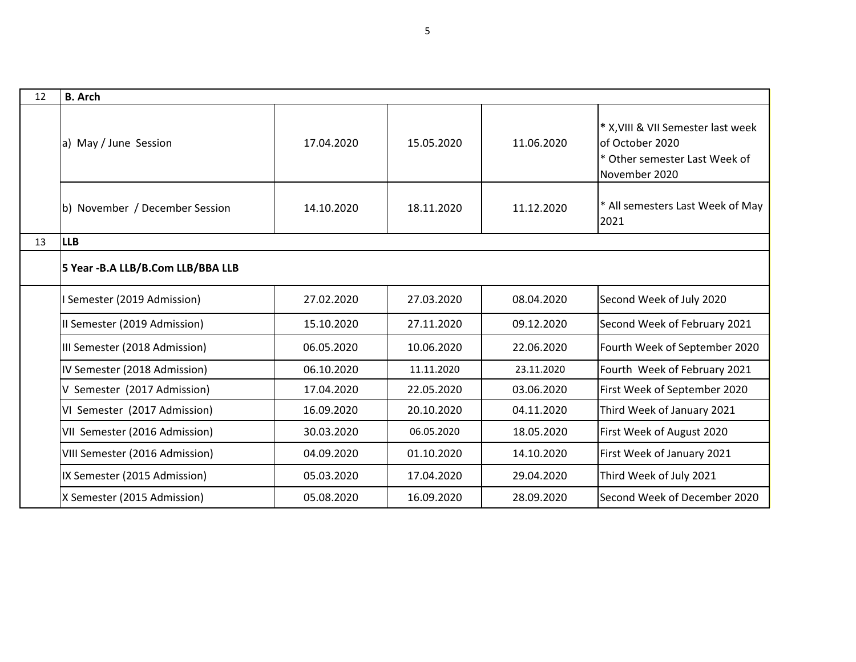| 12 | <b>B.</b> Arch                     |            |            |            |                                                                                                         |
|----|------------------------------------|------------|------------|------------|---------------------------------------------------------------------------------------------------------|
|    | a) May / June Session              | 17.04.2020 | 15.05.2020 | 11.06.2020 | * X, VIII & VII Semester last week<br>of October 2020<br>* Other semester Last Week of<br>November 2020 |
|    | b) November / December Session     | 14.10.2020 | 18.11.2020 | 11.12.2020 | * All semesters Last Week of May<br>2021                                                                |
| 13 | <b>LLB</b>                         |            |            |            |                                                                                                         |
|    | 5 Year - B.A LLB/B.Com LLB/BBA LLB |            |            |            |                                                                                                         |
|    | Semester (2019 Admission)          | 27.02.2020 | 27.03.2020 | 08.04.2020 | Second Week of July 2020                                                                                |
|    | II Semester (2019 Admission)       | 15.10.2020 | 27.11.2020 | 09.12.2020 | Second Week of February 2021                                                                            |
|    | III Semester (2018 Admission)      | 06.05.2020 | 10.06.2020 | 22.06.2020 | Fourth Week of September 2020                                                                           |
|    | IV Semester (2018 Admission)       | 06.10.2020 | 11.11.2020 | 23.11.2020 | Fourth Week of February 2021                                                                            |
|    | V Semester (2017 Admission)        | 17.04.2020 | 22.05.2020 | 03.06.2020 | First Week of September 2020                                                                            |
|    | VI Semester (2017 Admission)       | 16.09.2020 | 20.10.2020 | 04.11.2020 | Third Week of January 2021                                                                              |
|    | VII Semester (2016 Admission)      | 30.03.2020 | 06.05.2020 | 18.05.2020 | First Week of August 2020                                                                               |
|    | VIII Semester (2016 Admission)     | 04.09.2020 | 01.10.2020 | 14.10.2020 | First Week of January 2021                                                                              |
|    | IX Semester (2015 Admission)       | 05.03.2020 | 17.04.2020 | 29.04.2020 | Third Week of July 2021                                                                                 |
|    | X Semester (2015 Admission)        | 05.08.2020 | 16.09.2020 | 28.09.2020 | Second Week of December 2020                                                                            |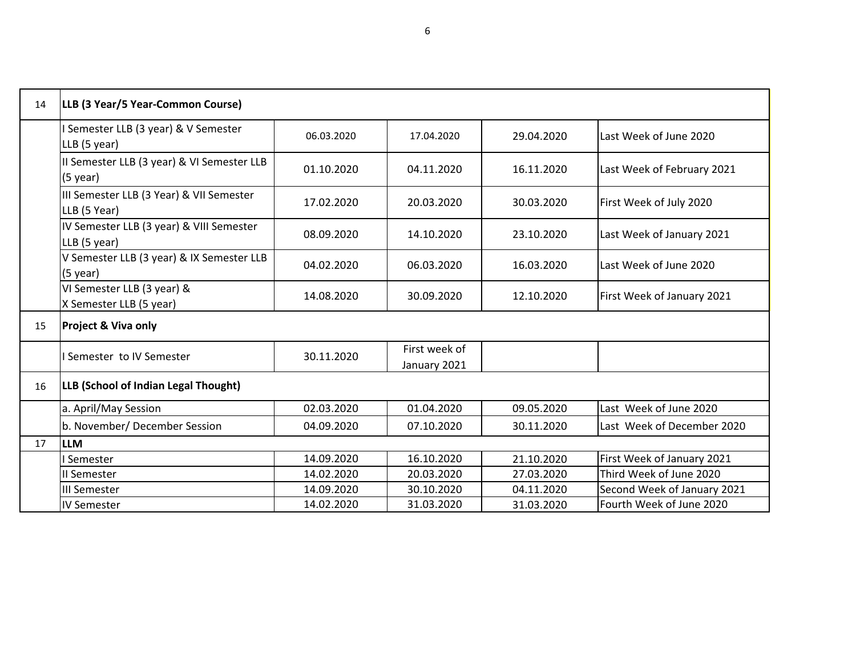| 14 | LLB (3 Year/5 Year-Common Course)                        |            |                               |            |                             |
|----|----------------------------------------------------------|------------|-------------------------------|------------|-----------------------------|
|    | Semester LLB (3 year) & V Semester<br>LLB (5 year)       | 06.03.2020 | 17.04.2020                    | 29.04.2020 | Last Week of June 2020      |
|    | II Semester LLB (3 year) & VI Semester LLB<br>$(5$ year) | 01.10.2020 | 04.11.2020                    | 16.11.2020 | Last Week of February 2021  |
|    | III Semester LLB (3 Year) & VII Semester<br>LLB (5 Year) | 17.02.2020 | 20.03.2020                    | 30.03.2020 | First Week of July 2020     |
|    | IV Semester LLB (3 year) & VIII Semester<br>LLB (5 year) | 08.09.2020 | 14.10.2020                    | 23.10.2020 | Last Week of January 2021   |
|    | V Semester LLB (3 year) & IX Semester LLB<br>$(5$ year)  | 04.02.2020 | 06.03.2020                    | 16.03.2020 | Last Week of June 2020      |
|    | VI Semester LLB (3 year) &<br>X Semester LLB (5 year)    | 14.08.2020 | 30.09.2020                    | 12.10.2020 | First Week of January 2021  |
| 15 | <b>Project &amp; Viva only</b>                           |            |                               |            |                             |
|    | I Semester to IV Semester                                | 30.11.2020 | First week of<br>January 2021 |            |                             |
| 16 | LLB (School of Indian Legal Thought)                     |            |                               |            |                             |
|    | a. April/May Session                                     | 02.03.2020 | 01.04.2020                    | 09.05.2020 | Last Week of June 2020      |
|    | b. November/ December Session                            | 04.09.2020 | 07.10.2020                    | 30.11.2020 | Last Week of December 2020  |
| 17 | <b>LLM</b>                                               |            |                               |            |                             |
|    | Semester                                                 | 14.09.2020 | 16.10.2020                    | 21.10.2020 | First Week of January 2021  |
|    | II Semester                                              | 14.02.2020 | 20.03.2020                    | 27.03.2020 | Third Week of June 2020     |
|    | III Semester                                             | 14.09.2020 | 30.10.2020                    | 04.11.2020 | Second Week of January 2021 |
|    | <b>IV Semester</b>                                       | 14.02.2020 | 31.03.2020                    | 31.03.2020 | Fourth Week of June 2020    |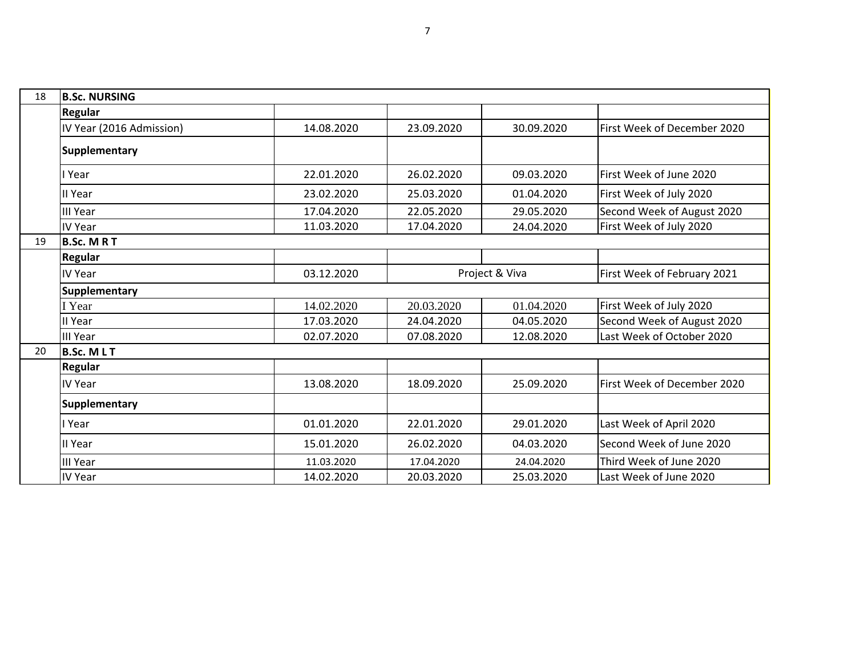| 18 | <b>B.Sc. NURSING</b>     |            |                |            |                             |  |  |
|----|--------------------------|------------|----------------|------------|-----------------------------|--|--|
|    | Regular                  |            |                |            |                             |  |  |
|    | IV Year (2016 Admission) | 14.08.2020 | 23.09.2020     | 30.09.2020 | First Week of December 2020 |  |  |
|    | Supplementary            |            |                |            |                             |  |  |
|    | Year                     | 22.01.2020 | 26.02.2020     | 09.03.2020 | First Week of June 2020     |  |  |
|    | II Year                  | 23.02.2020 | 25.03.2020     | 01.04.2020 | First Week of July 2020     |  |  |
|    | <b>III Year</b>          | 17.04.2020 | 22.05.2020     | 29.05.2020 | Second Week of August 2020  |  |  |
|    | IV Year                  | 11.03.2020 | 17.04.2020     | 24.04.2020 | First Week of July 2020     |  |  |
| 19 | <b>B.Sc. MRT</b>         |            |                |            |                             |  |  |
|    | Regular                  |            |                |            |                             |  |  |
|    | IV Year                  | 03.12.2020 | Project & Viva |            | First Week of February 2021 |  |  |
|    | Supplementary            |            |                |            |                             |  |  |
|    | I Year                   | 14.02.2020 | 20.03.2020     | 01.04.2020 | First Week of July 2020     |  |  |
|    | II Year                  | 17.03.2020 | 24.04.2020     | 04.05.2020 | Second Week of August 2020  |  |  |
|    | <b>III Year</b>          | 02.07.2020 | 07.08.2020     | 12.08.2020 | Last Week of October 2020   |  |  |
| 20 | <b>B.Sc. MLT</b>         |            |                |            |                             |  |  |
|    | <b>Regular</b>           |            |                |            |                             |  |  |
|    | IV Year                  | 13.08.2020 | 18.09.2020     | 25.09.2020 | First Week of December 2020 |  |  |
|    | <b>Supplementary</b>     |            |                |            |                             |  |  |
|    | I Year                   | 01.01.2020 | 22.01.2020     | 29.01.2020 | Last Week of April 2020     |  |  |
|    | II Year                  | 15.01.2020 | 26.02.2020     | 04.03.2020 | Second Week of June 2020    |  |  |
|    | <b>III Year</b>          | 11.03.2020 | 17.04.2020     | 24.04.2020 | Third Week of June 2020     |  |  |
|    | <b>IV Year</b>           | 14.02.2020 | 20.03.2020     | 25.03.2020 | Last Week of June 2020      |  |  |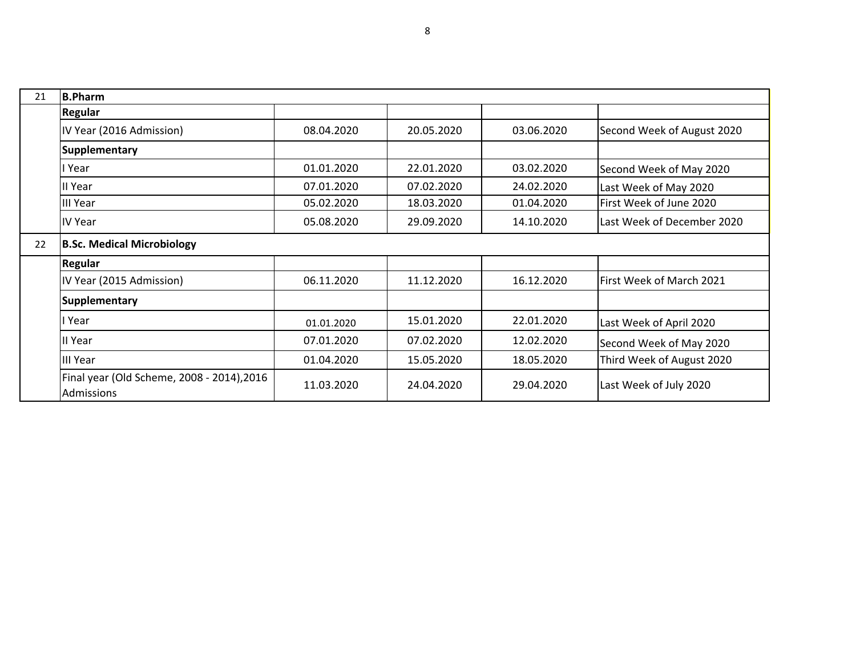| 21 | <b>B.Pharm</b>                                           |            |            |            |                                |
|----|----------------------------------------------------------|------------|------------|------------|--------------------------------|
|    | Regular                                                  |            |            |            |                                |
|    | IV Year (2016 Admission)                                 | 08.04.2020 | 20.05.2020 | 03.06.2020 | Second Week of August 2020     |
|    | <b>Supplementary</b>                                     |            |            |            |                                |
|    | l Year                                                   | 01.01.2020 | 22.01.2020 | 03.02.2020 | Second Week of May 2020        |
|    | II Year                                                  | 07.01.2020 | 07.02.2020 | 24.02.2020 | Last Week of May 2020          |
|    | III Year                                                 | 05.02.2020 | 18.03.2020 | 01.04.2020 | <b>First Week of June 2020</b> |
|    | <b>IV Year</b>                                           | 05.08.2020 | 29.09.2020 | 14.10.2020 | Last Week of December 2020     |
| 22 | <b>B.Sc. Medical Microbiology</b>                        |            |            |            |                                |
|    | Regular                                                  |            |            |            |                                |
|    | IV Year (2015 Admission)                                 | 06.11.2020 | 11.12.2020 | 16.12.2020 | lFirst Week of March 2021      |
|    | <b>Supplementary</b>                                     |            |            |            |                                |
|    | Year                                                     | 01.01.2020 | 15.01.2020 | 22.01.2020 | Last Week of April 2020        |
|    | II Year                                                  | 07.01.2020 | 07.02.2020 | 12.02.2020 | Second Week of May 2020        |
|    | <b>III Year</b>                                          | 01.04.2020 | 15.05.2020 | 18.05.2020 | Third Week of August 2020      |
|    | Final year (Old Scheme, 2008 - 2014), 2016<br>Admissions | 11.03.2020 | 24.04.2020 | 29.04.2020 | Last Week of July 2020         |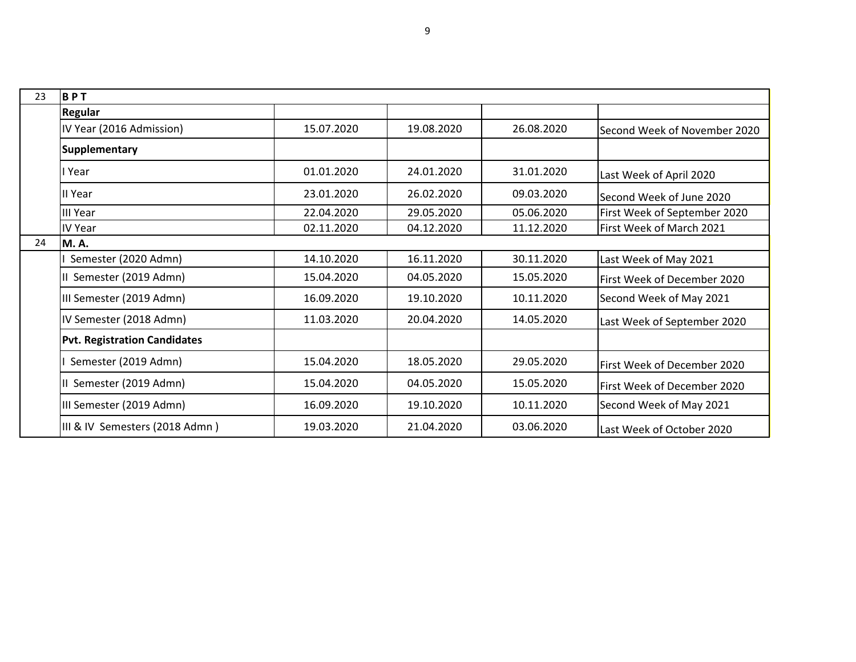| 23 | BPT                                 |            |            |            |                              |
|----|-------------------------------------|------------|------------|------------|------------------------------|
|    | Regular                             |            |            |            |                              |
|    | IV Year (2016 Admission)            | 15.07.2020 | 19.08.2020 | 26.08.2020 | Second Week of November 2020 |
|    | <b>Supplementary</b>                |            |            |            |                              |
|    | l Year                              | 01.01.2020 | 24.01.2020 | 31.01.2020 | Last Week of April 2020      |
|    | II Year                             | 23.01.2020 | 26.02.2020 | 09.03.2020 | Second Week of June 2020     |
|    | <b>III Year</b>                     | 22.04.2020 | 29.05.2020 | 05.06.2020 | First Week of September 2020 |
|    | <b>IV Year</b>                      | 02.11.2020 | 04.12.2020 | 11.12.2020 | First Week of March 2021     |
| 24 | M.A.                                |            |            |            |                              |
|    | Semester (2020 Admn)                | 14.10.2020 | 16.11.2020 | 30.11.2020 | Last Week of May 2021        |
|    | Semester (2019 Admn)                | 15.04.2020 | 04.05.2020 | 15.05.2020 | First Week of December 2020  |
|    | III Semester (2019 Admn)            | 16.09.2020 | 19.10.2020 | 10.11.2020 | Second Week of May 2021      |
|    | IV Semester (2018 Admn)             | 11.03.2020 | 20.04.2020 | 14.05.2020 | Last Week of September 2020  |
|    | <b>Pvt. Registration Candidates</b> |            |            |            |                              |
|    | Semester (2019 Admn)                | 15.04.2020 | 18.05.2020 | 29.05.2020 | First Week of December 2020  |
|    | Semester (2019 Admn)                | 15.04.2020 | 04.05.2020 | 15.05.2020 | First Week of December 2020  |
|    | III Semester (2019 Admn)            | 16.09.2020 | 19.10.2020 | 10.11.2020 | Second Week of May 2021      |
|    | III & IV Semesters (2018 Admn)      | 19.03.2020 | 21.04.2020 | 03.06.2020 | Last Week of October 2020    |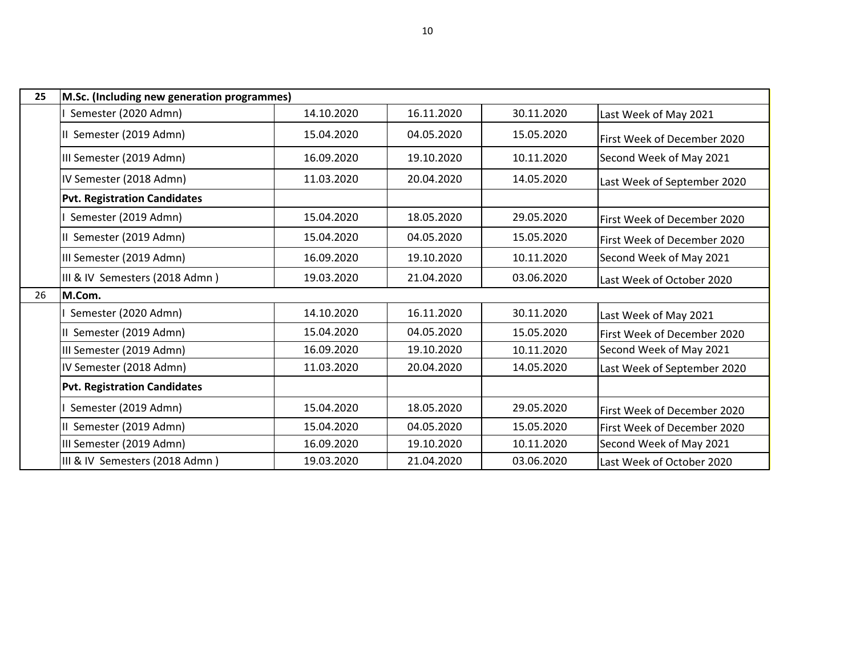| 25 | M.Sc. (Including new generation programmes) |            |            |            |                             |  |  |
|----|---------------------------------------------|------------|------------|------------|-----------------------------|--|--|
|    | Semester (2020 Admn)                        | 14.10.2020 | 16.11.2020 | 30.11.2020 | Last Week of May 2021       |  |  |
|    | Semester (2019 Admn)                        | 15.04.2020 | 04.05.2020 | 15.05.2020 | First Week of December 2020 |  |  |
|    | III Semester (2019 Admn)                    | 16.09.2020 | 19.10.2020 | 10.11.2020 | Second Week of May 2021     |  |  |
|    | IV Semester (2018 Admn)                     | 11.03.2020 | 20.04.2020 | 14.05.2020 | Last Week of September 2020 |  |  |
|    | <b>Pvt. Registration Candidates</b>         |            |            |            |                             |  |  |
|    | Semester (2019 Admn)                        | 15.04.2020 | 18.05.2020 | 29.05.2020 | First Week of December 2020 |  |  |
|    | Semester (2019 Admn)                        | 15.04.2020 | 04.05.2020 | 15.05.2020 | First Week of December 2020 |  |  |
|    | III Semester (2019 Admn)                    | 16.09.2020 | 19.10.2020 | 10.11.2020 | Second Week of May 2021     |  |  |
|    | III & IV Semesters (2018 Admn)              | 19.03.2020 | 21.04.2020 | 03.06.2020 | Last Week of October 2020   |  |  |
| 26 | M.Com.                                      |            |            |            |                             |  |  |
|    | Semester (2020 Admn)                        | 14.10.2020 | 16.11.2020 | 30.11.2020 | Last Week of May 2021       |  |  |
|    | Semester (2019 Admn)                        | 15.04.2020 | 04.05.2020 | 15.05.2020 | First Week of December 2020 |  |  |
|    | III Semester (2019 Admn)                    | 16.09.2020 | 19.10.2020 | 10.11.2020 | Second Week of May 2021     |  |  |
|    | IV Semester (2018 Admn)                     | 11.03.2020 | 20.04.2020 | 14.05.2020 | Last Week of September 2020 |  |  |
|    | <b>Pvt. Registration Candidates</b>         |            |            |            |                             |  |  |
|    | Semester (2019 Admn)                        | 15.04.2020 | 18.05.2020 | 29.05.2020 | First Week of December 2020 |  |  |
|    | Semester (2019 Admn)                        | 15.04.2020 | 04.05.2020 | 15.05.2020 | First Week of December 2020 |  |  |
|    | III Semester (2019 Admn)                    | 16.09.2020 | 19.10.2020 | 10.11.2020 | Second Week of May 2021     |  |  |
|    | III & IV Semesters (2018 Admn)              | 19.03.2020 | 21.04.2020 | 03.06.2020 | Last Week of October 2020   |  |  |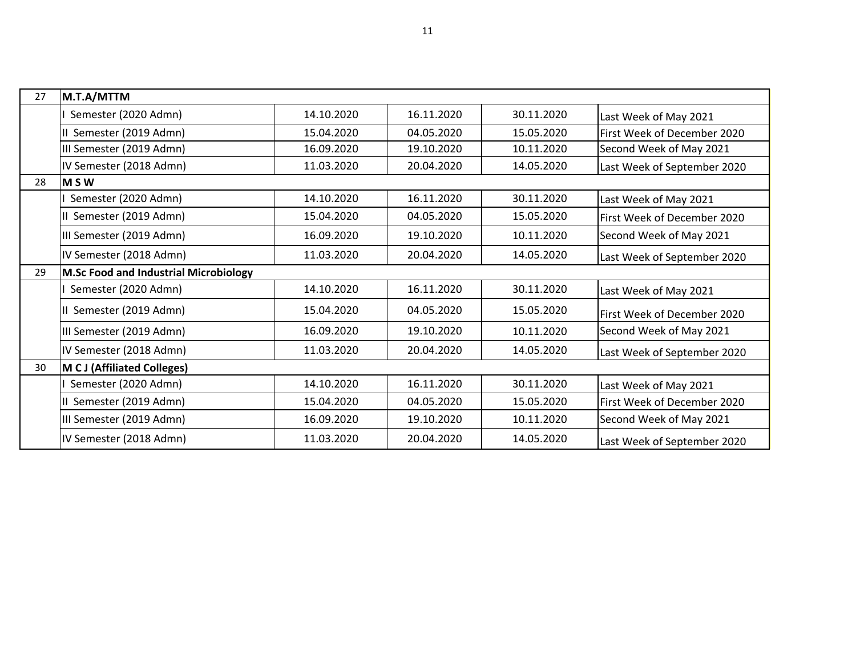| 27 | M.T.A/MTTM                            |            |            |            |                                     |
|----|---------------------------------------|------------|------------|------------|-------------------------------------|
|    | Semester (2020 Admn)                  | 14.10.2020 | 16.11.2020 | 30.11.2020 | Last Week of May 2021               |
|    | II Semester (2019 Admn)               | 15.04.2020 | 04.05.2020 | 15.05.2020 | <b>First Week of December 2020</b>  |
|    | III Semester (2019 Admn)              | 16.09.2020 | 19.10.2020 | 10.11.2020 | Second Week of May 2021             |
|    | IV Semester (2018 Admn)               | 11.03.2020 | 20.04.2020 | 14.05.2020 | Last Week of September 2020         |
| 28 | IM S W                                |            |            |            |                                     |
|    | Semester (2020 Admn)                  | 14.10.2020 | 16.11.2020 | 30.11.2020 | Last Week of May 2021               |
|    | II Semester (2019 Admn)               | 15.04.2020 | 04.05.2020 | 15.05.2020 | <b>IFirst Week of December 2020</b> |
|    | III Semester (2019 Admn)              | 16.09.2020 | 19.10.2020 | 10.11.2020 | Second Week of May 2021             |
|    | IV Semester (2018 Admn)               | 11.03.2020 | 20.04.2020 | 14.05.2020 | Last Week of September 2020         |
| 29 | M.Sc Food and Industrial Microbiology |            |            |            |                                     |
|    | Semester (2020 Admn)                  | 14.10.2020 | 16.11.2020 | 30.11.2020 | Last Week of May 2021               |
|    | II Semester (2019 Admn)               | 15.04.2020 | 04.05.2020 | 15.05.2020 | <b>IFirst Week of December 2020</b> |
|    | III Semester (2019 Admn)              | 16.09.2020 | 19.10.2020 | 10.11.2020 | Second Week of May 2021             |
|    | IV Semester (2018 Admn)               | 11.03.2020 | 20.04.2020 | 14.05.2020 | Last Week of September 2020         |
| 30 | M C J (Affiliated Colleges)           |            |            |            |                                     |
|    | Semester (2020 Admn)                  | 14.10.2020 | 16.11.2020 | 30.11.2020 | Last Week of May 2021               |
|    | Semester (2019 Admn)                  | 15.04.2020 | 04.05.2020 | 15.05.2020 | First Week of December 2020         |
|    | III Semester (2019 Admn)              | 16.09.2020 | 19.10.2020 | 10.11.2020 | Second Week of May 2021             |
|    | IV Semester (2018 Admn)               | 11.03.2020 | 20.04.2020 | 14.05.2020 | Last Week of September 2020         |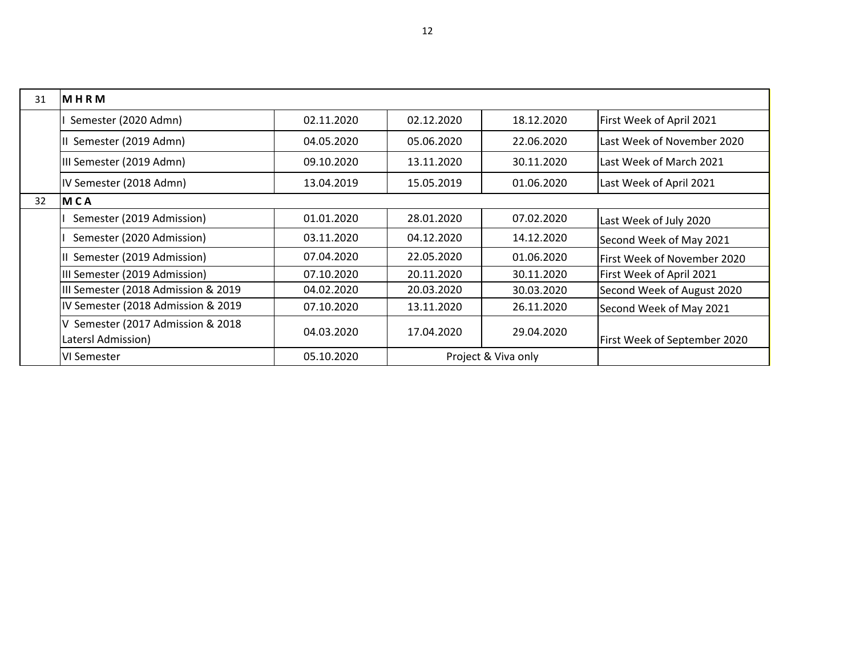| 31 | MHRM                                                   |            |            |                     |                              |
|----|--------------------------------------------------------|------------|------------|---------------------|------------------------------|
|    | Semester (2020 Admn)                                   | 02.11.2020 | 02.12.2020 | 18.12.2020          | First Week of April 2021     |
|    | Semester (2019 Admn)                                   | 04.05.2020 | 05.06.2020 | 22.06.2020          | Last Week of November 2020   |
|    | III Semester (2019 Admn)                               | 09.10.2020 | 13.11.2020 | 30.11.2020          | Last Week of March 2021      |
|    | IV Semester (2018 Admn)                                | 13.04.2019 | 15.05.2019 | 01.06.2020          | Last Week of April 2021      |
| 32 | <b>MCA</b>                                             |            |            |                     |                              |
|    | Semester (2019 Admission)                              | 01.01.2020 | 28.01.2020 | 07.02.2020          | Last Week of July 2020       |
|    | Semester (2020 Admission)                              | 03.11.2020 | 04.12.2020 | 14.12.2020          | Second Week of May 2021      |
|    | Semester (2019 Admission)                              | 07.04.2020 | 22.05.2020 | 01.06.2020          | First Week of November 2020  |
|    | III Semester (2019 Admission)                          | 07.10.2020 | 20.11.2020 | 30.11.2020          | First Week of April 2021     |
|    | III Semester (2018 Admission & 2019)                   | 04.02.2020 | 20.03.2020 | 30.03.2020          | Second Week of August 2020   |
|    | IV Semester (2018 Admission & 2019)                    | 07.10.2020 | 13.11.2020 | 26.11.2020          | Second Week of May 2021      |
|    | Semester (2017 Admission & 2018)<br>Latersl Admission) | 04.03.2020 | 17.04.2020 | 29.04.2020          | First Week of September 2020 |
|    | VI Semester                                            | 05.10.2020 |            | Project & Viva only |                              |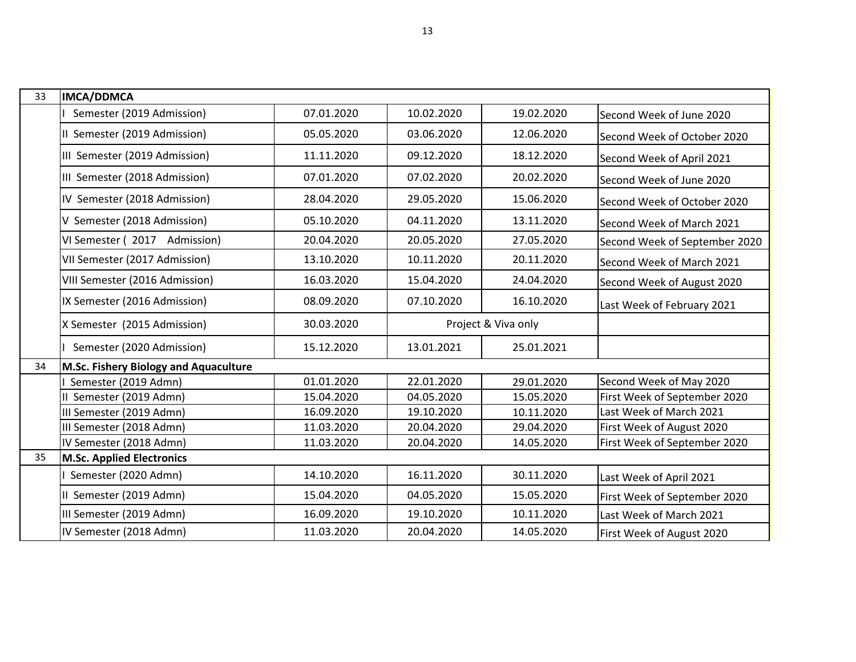| 33 | <b>IMCA/DDMCA</b>                     |            |            |                     |                               |
|----|---------------------------------------|------------|------------|---------------------|-------------------------------|
|    | Semester (2019 Admission)             | 07.01.2020 | 10.02.2020 | 19.02.2020          | Second Week of June 2020      |
|    | II Semester (2019 Admission)          | 05.05.2020 | 03.06.2020 | 12.06.2020          | Second Week of October 2020   |
|    | III Semester (2019 Admission)         | 11.11.2020 | 09.12.2020 | 18.12.2020          | Second Week of April 2021     |
|    | III Semester (2018 Admission)         | 07.01.2020 | 07.02.2020 | 20.02.2020          | Second Week of June 2020      |
|    | IV Semester (2018 Admission)          | 28.04.2020 | 29.05.2020 | 15.06.2020          | Second Week of October 2020   |
|    | V Semester (2018 Admission)           | 05.10.2020 | 04.11.2020 | 13.11.2020          | Second Week of March 2021     |
|    | VI Semester (2017 Admission)          | 20.04.2020 | 20.05.2020 | 27.05.2020          | Second Week of September 2020 |
|    | VII Semester (2017 Admission)         | 13.10.2020 | 10.11.2020 | 20.11.2020          | Second Week of March 2021     |
|    | VIII Semester (2016 Admission)        | 16.03.2020 | 15.04.2020 | 24.04.2020          | Second Week of August 2020    |
|    | IX Semester (2016 Admission)          | 08.09.2020 | 07.10.2020 | 16.10.2020          | Last Week of February 2021    |
|    | X Semester (2015 Admission)           | 30.03.2020 |            | Project & Viva only |                               |
|    | Semester (2020 Admission)             | 15.12.2020 | 13.01.2021 | 25.01.2021          |                               |
| 34 | M.Sc. Fishery Biology and Aquaculture |            |            |                     |                               |
|    | Semester (2019 Admn)                  | 01.01.2020 | 22.01.2020 | 29.01.2020          | Second Week of May 2020       |
|    | II Semester (2019 Admn)               | 15.04.2020 | 04.05.2020 | 15.05.2020          | First Week of September 2020  |
|    | III Semester (2019 Admn)              | 16.09.2020 | 19.10.2020 | 10.11.2020          | Last Week of March 2021       |
|    | III Semester (2018 Admn)              | 11.03.2020 | 20.04.2020 | 29.04.2020          | First Week of August 2020     |
|    | IV Semester (2018 Admn)               | 11.03.2020 | 20.04.2020 | 14.05.2020          | First Week of September 2020  |
| 35 | <b>M.Sc. Applied Electronics</b>      |            |            |                     |                               |
|    | Semester (2020 Admn)                  | 14.10.2020 | 16.11.2020 | 30.11.2020          | Last Week of April 2021       |
|    | II Semester (2019 Admn)               | 15.04.2020 | 04.05.2020 | 15.05.2020          | First Week of September 2020  |
|    | III Semester (2019 Admn)              | 16.09.2020 | 19.10.2020 | 10.11.2020          | Last Week of March 2021       |
|    | IV Semester (2018 Admn)               | 11.03.2020 | 20.04.2020 | 14.05.2020          | First Week of August 2020     |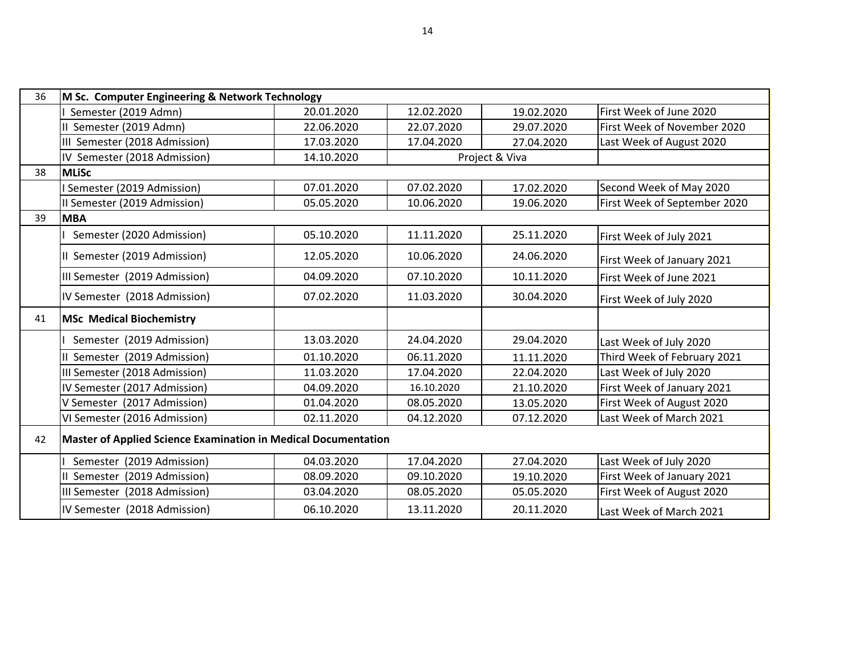| 36 | M Sc. Computer Engineering & Network Technology                |            |            |                |                              |  |
|----|----------------------------------------------------------------|------------|------------|----------------|------------------------------|--|
|    | Semester (2019 Admn)                                           | 20.01.2020 | 12.02.2020 | 19.02.2020     | First Week of June 2020      |  |
|    | II Semester (2019 Admn)                                        | 22.06.2020 | 22.07.2020 | 29.07.2020     | First Week of November 2020  |  |
|    | III Semester (2018 Admission)                                  | 17.03.2020 | 17.04.2020 | 27.04.2020     | Last Week of August 2020     |  |
|    | IV Semester (2018 Admission)                                   | 14.10.2020 |            | Project & Viva |                              |  |
| 38 | <b>MLiSc</b>                                                   |            |            |                |                              |  |
|    | Semester (2019 Admission)                                      | 07.01.2020 | 07.02.2020 | 17.02.2020     | Second Week of May 2020      |  |
|    | II Semester (2019 Admission)                                   | 05.05.2020 | 10.06.2020 | 19.06.2020     | First Week of September 2020 |  |
| 39 | <b>MBA</b>                                                     |            |            |                |                              |  |
|    | Semester (2020 Admission)                                      | 05.10.2020 | 11.11.2020 | 25.11.2020     | First Week of July 2021      |  |
|    | II Semester (2019 Admission)                                   | 12.05.2020 | 10.06.2020 | 24.06.2020     | First Week of January 2021   |  |
|    | III Semester (2019 Admission)                                  | 04.09.2020 | 07.10.2020 | 10.11.2020     | First Week of June 2021      |  |
|    | IV Semester (2018 Admission)                                   | 07.02.2020 | 11.03.2020 | 30.04.2020     | First Week of July 2020      |  |
| 41 | <b>MSc Medical Biochemistry</b>                                |            |            |                |                              |  |
|    | Semester (2019 Admission)                                      | 13.03.2020 | 24.04.2020 | 29.04.2020     | Last Week of July 2020       |  |
|    | II Semester (2019 Admission)                                   | 01.10.2020 | 06.11.2020 | 11.11.2020     | Third Week of February 2021  |  |
|    | III Semester (2018 Admission)                                  | 11.03.2020 | 17.04.2020 | 22.04.2020     | Last Week of July 2020       |  |
|    | IV Semester (2017 Admission)                                   | 04.09.2020 | 16.10.2020 | 21.10.2020     | First Week of January 2021   |  |
|    | V Semester (2017 Admission)                                    | 01.04.2020 | 08.05.2020 | 13.05.2020     | First Week of August 2020    |  |
|    | VI Semester (2016 Admission)                                   | 02.11.2020 | 04.12.2020 | 07.12.2020     | Last Week of March 2021      |  |
| 42 | Master of Applied Science Examination in Medical Documentation |            |            |                |                              |  |
|    | Semester (2019 Admission)                                      | 04.03.2020 | 17.04.2020 | 27.04.2020     | Last Week of July 2020       |  |
|    | Semester (2019 Admission)                                      | 08.09.2020 | 09.10.2020 | 19.10.2020     | First Week of January 2021   |  |
|    | III Semester (2018 Admission)                                  | 03.04.2020 | 08.05.2020 | 05.05.2020     | First Week of August 2020    |  |
|    | IV Semester (2018 Admission)                                   | 06.10.2020 | 13.11.2020 | 20.11.2020     | Last Week of March 2021      |  |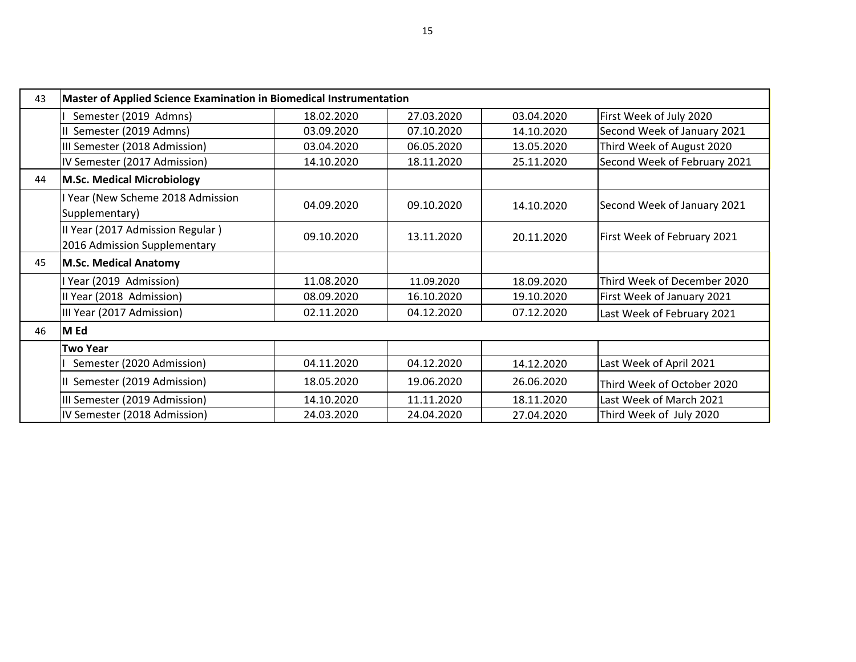| 43 | <b>Master of Applied Science Examination in Biomedical Instrumentation</b> |            |            |            |                              |  |
|----|----------------------------------------------------------------------------|------------|------------|------------|------------------------------|--|
|    | Semester (2019 Admns)                                                      | 18.02.2020 | 27.03.2020 | 03.04.2020 | First Week of July 2020      |  |
|    | Semester (2019 Admns)                                                      | 03.09.2020 | 07.10.2020 | 14.10.2020 | Second Week of January 2021  |  |
|    | III Semester (2018 Admission)                                              | 03.04.2020 | 06.05.2020 | 13.05.2020 | Third Week of August 2020    |  |
|    | IV Semester (2017 Admission)                                               | 14.10.2020 | 18.11.2020 | 25.11.2020 | Second Week of February 2021 |  |
| 44 | <b>M.Sc. Medical Microbiology</b>                                          |            |            |            |                              |  |
|    | I Year (New Scheme 2018 Admission<br>Supplementary)                        | 04.09.2020 | 09.10.2020 | 14.10.2020 | Second Week of January 2021  |  |
|    | II Year (2017 Admission Regular)<br>2016 Admission Supplementary           | 09.10.2020 | 13.11.2020 | 20.11.2020 | First Week of February 2021  |  |
| 45 | M.Sc. Medical Anatomy                                                      |            |            |            |                              |  |
|    | I Year (2019 Admission)                                                    | 11.08.2020 | 11.09.2020 | 18.09.2020 | Third Week of December 2020  |  |
|    | II Year (2018 Admission)                                                   | 08.09.2020 | 16.10.2020 | 19.10.2020 | First Week of January 2021   |  |
|    | III Year (2017 Admission)                                                  | 02.11.2020 | 04.12.2020 | 07.12.2020 | Last Week of February 2021   |  |
| 46 | M Ed                                                                       |            |            |            |                              |  |
|    | <b>Two Year</b>                                                            |            |            |            |                              |  |
|    | Semester (2020 Admission)                                                  | 04.11.2020 | 04.12.2020 | 14.12.2020 | Last Week of April 2021      |  |
|    | II Semester (2019 Admission)                                               | 18.05.2020 | 19.06.2020 | 26.06.2020 | Third Week of October 2020   |  |
|    | III Semester (2019 Admission)                                              | 14.10.2020 | 11.11.2020 | 18.11.2020 | Last Week of March 2021      |  |
|    | IV Semester (2018 Admission)                                               | 24.03.2020 | 24.04.2020 | 27.04.2020 | Third Week of July 2020      |  |